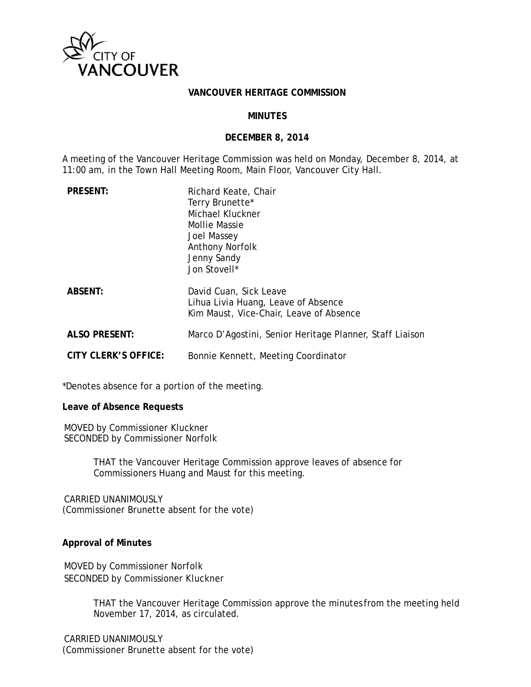

#### **VANCOUVER HERITAGE COMMISSION**

#### **MINUTES**

#### **DECEMBER 8, 2014**

A meeting of the Vancouver Heritage Commission was held on Monday, December 8, 2014, at 11:00 am, in the Town Hall Meeting Room, Main Floor, Vancouver City Hall.

| <b>PRESENT:</b>      | Richard Keate, Chair<br>Terry Brunette*<br>Michael Kluckner<br>Mollie Massie<br>Joel Massey<br><b>Anthony Norfolk</b><br>Jenny Sandy<br>Jon Stovell* |
|----------------------|------------------------------------------------------------------------------------------------------------------------------------------------------|
| <b>ABSENT:</b>       | David Cuan, Sick Leave<br>Lihua Livia Huang, Leave of Absence<br>Kim Maust, Vice-Chair, Leave of Absence                                             |
| <b>ALSO PRESENT:</b> | Marco D'Agostini, Senior Heritage Planner, Staff Liaison                                                                                             |
| CITY CLERK'S OFFICE: | Bonnie Kennett, Meeting Coordinator                                                                                                                  |

\*Denotes absence for a portion of the meeting.

**Leave of Absence Requests** 

MOVED by Commissioner Kluckner SECONDED by Commissioner Norfolk

> THAT the Vancouver Heritage Commission approve leaves of absence for Commissioners Huang and Maust for this meeting.

CARRIED UNANIMOUSLY (Commissioner Brunette absent for the vote)

### **Approval of Minutes**

MOVED by Commissioner Norfolk SECONDED by Commissioner Kluckner

> THAT the Vancouver Heritage Commission approve the minutes from the meeting held November 17, 2014, as circulated.

CARRIED UNANIMOUSLY (Commissioner Brunette absent for the vote)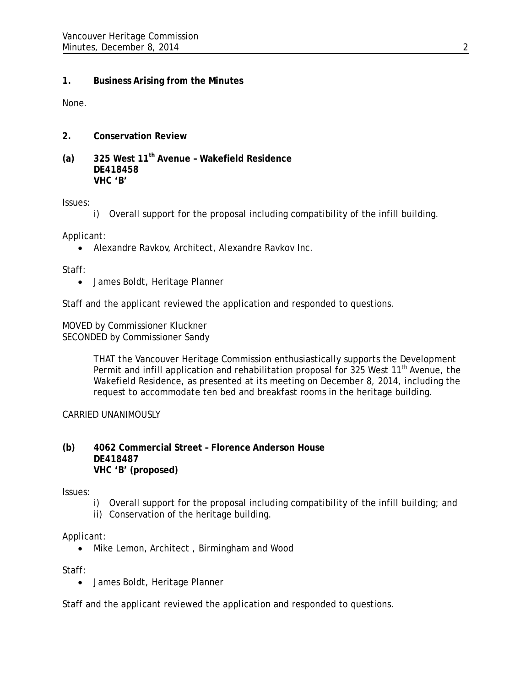# **1. Business Arising from the Minutes**

None.

- **2. Conservation Review**
- **(a) 325 West 11th Avenue Wakefield Residence DE418458 VHC 'B'**

Issues:

i) Overall support for the proposal including compatibility of the infill building.

Applicant:

Alexandre Ravkov, Architect, Alexandre Ravkov Inc.

Staff:

James Boldt, Heritage Planner

Staff and the applicant reviewed the application and responded to questions.

MOVED by Commissioner Kluckner SECONDED by Commissioner Sandy

> THAT the Vancouver Heritage Commission enthusiastically supports the Development Permit and infill application and rehabilitation proposal for 325 West 11<sup>th</sup> Avenue, the Wakefield Residence, as presented at its meeting on December 8, 2014, including the request to accommodate ten bed and breakfast rooms in the heritage building.

CARRIED UNANIMOUSLY

### **(b) 4062 Commercial Street – Florence Anderson House DE418487 VHC 'B' (proposed)**

Issues:

- i) Overall support for the proposal including compatibility of the infill building; and
- ii) Conservation of the heritage building.

Applicant:

• Mike Lemon, Architect, Birmingham and Wood

Staff:

James Boldt, Heritage Planner

Staff and the applicant reviewed the application and responded to questions.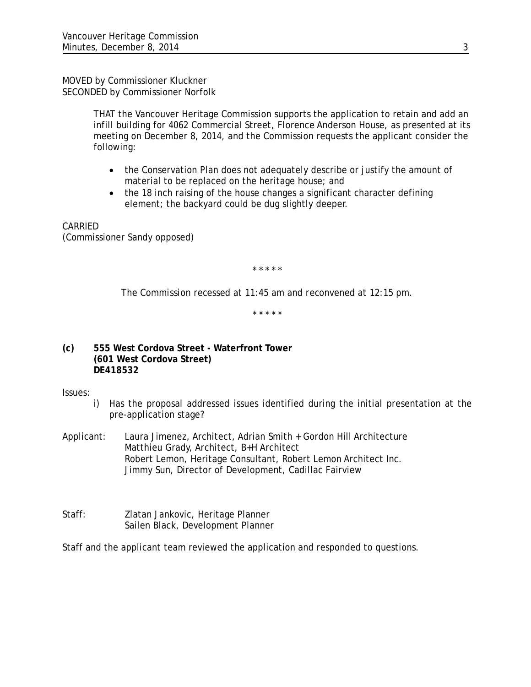MOVED by Commissioner Kluckner SECONDED by Commissioner Norfolk

> THAT the Vancouver Heritage Commission supports the application to retain and add an infill building for 4062 Commercial Street, Florence Anderson House, as presented at its meeting on December 8, 2014, and the Commission requests the applicant consider the following:

- the Conservation Plan does not adequately describe or justify the amount of material to be replaced on the heritage house; and
- the 18 inch raising of the house changes a significant character defining element; the backyard could be dug slightly deeper.

CARRIED (Commissioner Sandy opposed)

*\* \* \* \* \** 

*The Commission recessed at 11:45 am and reconvened at 12:15 pm.* 

*\* \* \* \* \**

**(c) 555 West Cordova Street - Waterfront Tower (601 West Cordova Street) DE418532** 

Issues:

- i) Has the proposal addressed issues identified during the initial presentation at the pre-application stage?
- Applicant: Laura Jimenez, Architect, Adrian Smith + Gordon Hill Architecture Matthieu Grady, Architect, B+H Architect Robert Lemon, Heritage Consultant, Robert Lemon Architect Inc. Jimmy Sun, Director of Development, Cadillac Fairview
- Staff: Zlatan Jankovic, Heritage Planner Sailen Black, Development Planner

Staff and the applicant team reviewed the application and responded to questions.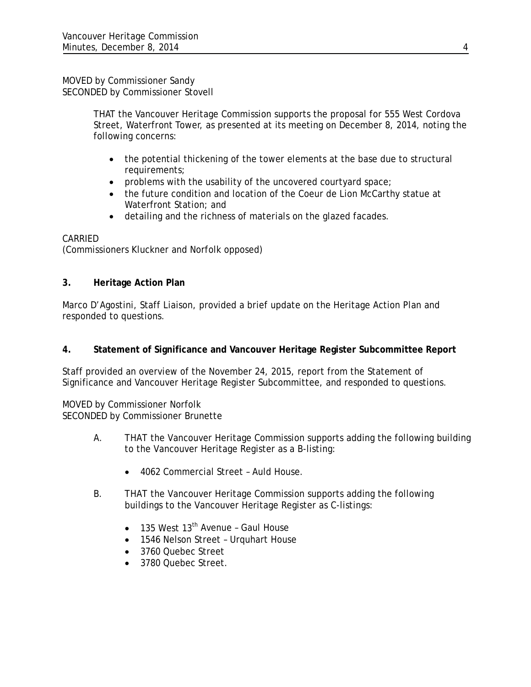MOVED by Commissioner Sandy SECONDED by Commissioner Stovell

> THAT the Vancouver Heritage Commission supports the proposal for 555 West Cordova Street, Waterfront Tower, as presented at its meeting on December 8, 2014, noting the following concerns:

- the potential thickening of the tower elements at the base due to structural requirements;
- problems with the usability of the uncovered courtyard space;
- the future condition and location of the Coeur de Lion McCarthy statue at Waterfront Station; and
- detailing and the richness of materials on the glazed facades.

## CARRIED

(Commissioners Kluckner and Norfolk opposed)

## **3. Heritage Action Plan**

Marco D'Agostini, Staff Liaison, provided a brief update on the Heritage Action Plan and responded to questions.

## **4. Statement of Significance and Vancouver Heritage Register Subcommittee Report**

Staff provided an overview of the November 24, 2015, report from the Statement of Significance and Vancouver Heritage Register Subcommittee, and responded to questions.

MOVED by Commissioner Norfolk SECONDED by Commissioner Brunette

- A. THAT the Vancouver Heritage Commission supports adding the following building to the Vancouver Heritage Register as a B-listing:
	- 4062 Commercial Street Auld House.
- B. THAT the Vancouver Heritage Commission supports adding the following buildings to the Vancouver Heritage Register as C-listings:
	- $\bullet$  135 West 13<sup>th</sup> Avenue Gaul House
	- 1546 Nelson Street Urquhart House
	- 3760 Quebec Street
	- 3780 Quebec Street.